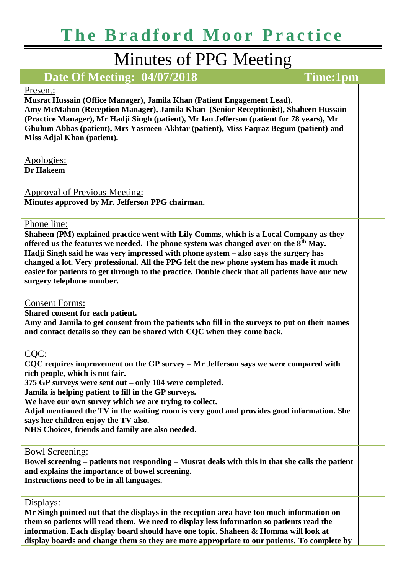# Minutes of PPG Meeting

# **Date Of Meeting: 04/07/2018 Time:1pm**

### Present:

**Musrat Hussain (Office Manager), Jamila Khan (Patient Engagement Lead). Amy McMahon (Reception Manager), Jamila Khan (Senior Receptionist), Shaheen Hussain (Practice Manager), Mr Hadji Singh (patient), Mr Ian Jefferson (patient for 78 years), Mr Ghulum Abbas (patient), Mrs Yasmeen Akhtar (patient), Miss Faqraz Begum (patient) and Miss Adjal Khan (patient).**

Apologies:

**Dr Hakeem**

Approval of Previous Meeting: **Minutes approved by Mr. Jefferson PPG chairman.** 

#### Phone line:

**Shaheen (PM) explained practice went with Lily Comms, which is a Local Company as they offered us the features we needed. The phone system was changed over on the 8th May. Hadji Singh said he was very impressed with phone system – also says the surgery has changed a lot. Very professional. All the PPG felt the new phone system has made it much easier for patients to get through to the practice. Double check that all patients have our new surgery telephone number.**

Consent Forms:

**Shared consent for each patient.**

**Amy and Jamila to get consent from the patients who fill in the surveys to put on their names and contact details so they can be shared with CQC when they come back.** 

CQC:

**CQC requires improvement on the GP survey – Mr Jefferson says we were compared with rich people, which is not fair.**

**375 GP surveys were sent out – only 104 were completed.** 

**Jamila is helping patient to fill in the GP surveys.**

**We have our own survey which we are trying to collect.**

**Adjal mentioned the TV in the waiting room is very good and provides good information. She says her children enjoy the TV also.**

**NHS Choices, friends and family are also needed.**

Bowl Screening:

**Bowel screening – patients not responding – Musrat deals with this in that she calls the patient and explains the importance of bowel screening. Instructions need to be in all languages.**

Displays:

**Mr Singh pointed out that the displays in the reception area have too much information on them so patients will read them. We need to display less information so patients read the information. Each display board should have one topic. Shaheen & Homma will look at display boards and change them so they are more appropriate to our patients. To complete by**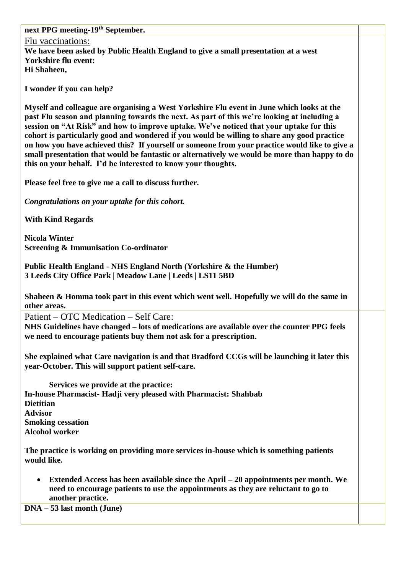**next PPG meeting-19th September.** 

Flu vaccinations: **We have been asked by Public Health England to give a small presentation at a west Yorkshire flu event: Hi Shaheen,**

**I wonder if you can help?**

**Myself and colleague are organising a West Yorkshire Flu event in June which looks at the past Flu season and planning towards the next. As part of this we're looking at including a session on "At Risk" and how to improve uptake. We've noticed that your uptake for this cohort is particularly good and wondered if you would be willing to share any good practice on how you have achieved this? If yourself or someone from your practice would like to give a small presentation that would be fantastic or alternatively we would be more than happy to do this on your behalf. I'd be interested to know your thoughts.**

**Please feel free to give me a call to discuss further.**

*Congratulations on your uptake for this cohort.*

**With Kind Regards**

**Nicola Winter Screening & Immunisation Co-ordinator**

**Public Health England - NHS England North (Yorkshire & the Humber) 3 Leeds City Office Park | Meadow Lane | Leeds | LS11 5BD**

**Shaheen & Homma took part in this event which went well. Hopefully we will do the same in other areas.**

Patient – OTC Medication – Self Care:

**NHS Guidelines have changed – lots of medications are available over the counter PPG feels we need to encourage patients buy them not ask for a prescription.**

**She explained what Care navigation is and that Bradford CCGs will be launching it later this year-October. This will support patient self-care.** 

**Services we provide at the practice: In-house Pharmacist- Hadji very pleased with Pharmacist: Shahbab Dietitian Advisor Smoking cessation Alcohol worker**

**The practice is working on providing more services in-house which is something patients would like.** 

• **Extended Access has been available since the April – 20 appointments per month. We need to encourage patients to use the appointments as they are reluctant to go to another practice.** 

**DNA – 53 last month (June)**